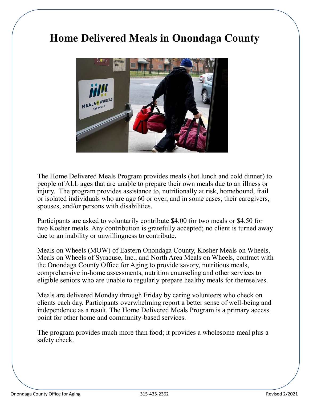# **Home Delivered Meals in Onondaga County**



The Home Delivered Meals Program provides meals (hot lunch and cold dinner) to people of ALL ages that are unable to prepare their own meals due to an illness or injury. The program provides assistance to, nutritionally at risk, homebound, frail or isolated individuals who are age 60 or over, and in some cases, their caregivers, spouses, and/or persons with disabilities.

Participants are asked to voluntarily contribute \$4.00 for two meals or \$4.50 for two Kosher meals. Any contribution is gratefully accepted; no client is turned away due to an inability or unwillingness to contribute.

Meals on Wheels (MOW) of Eastern Onondaga County, Kosher Meals on Wheels, Meals on Wheels of Syracuse, Inc., and North Area Meals on Wheels, contract with the Onondaga County Office for Aging to provide savory, nutritious meals, comprehensive in-home assessments, nutrition counseling and other services to eligible seniors who are unable to regularly prepare healthy meals for themselves.

Meals are delivered Monday through Friday by caring volunteers who check on clients each day. Participants overwhelming report a better sense of well-being and independence as a result. The Home Delivered Meals Program is a primary access point for other home and community-based services.

The program provides much more than food; it provides a wholesome meal plus a safety check.